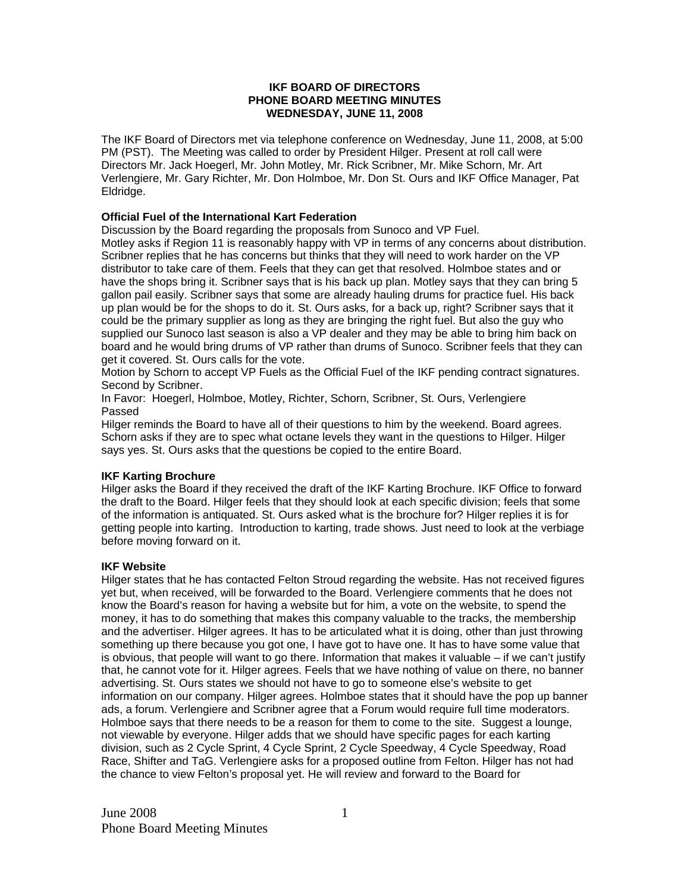## **IKF BOARD OF DIRECTORS PHONE BOARD MEETING MINUTES WEDNESDAY, JUNE 11, 2008**

The IKF Board of Directors met via telephone conference on Wednesday, June 11, 2008, at 5:00 PM (PST). The Meeting was called to order by President Hilger. Present at roll call were Directors Mr. Jack Hoegerl, Mr. John Motley, Mr. Rick Scribner, Mr. Mike Schorn, Mr. Art Verlengiere, Mr. Gary Richter, Mr. Don Holmboe, Mr. Don St. Ours and IKF Office Manager, Pat Eldridge.

# **Official Fuel of the International Kart Federation**

Discussion by the Board regarding the proposals from Sunoco and VP Fuel.

Motley asks if Region 11 is reasonably happy with VP in terms of any concerns about distribution. Scribner replies that he has concerns but thinks that they will need to work harder on the VP distributor to take care of them. Feels that they can get that resolved. Holmboe states and or have the shops bring it. Scribner says that is his back up plan. Motley says that they can bring 5 gallon pail easily. Scribner says that some are already hauling drums for practice fuel. His back up plan would be for the shops to do it. St. Ours asks, for a back up, right? Scribner says that it could be the primary supplier as long as they are bringing the right fuel. But also the guy who supplied our Sunoco last season is also a VP dealer and they may be able to bring him back on board and he would bring drums of VP rather than drums of Sunoco. Scribner feels that they can get it covered. St. Ours calls for the vote.

Motion by Schorn to accept VP Fuels as the Official Fuel of the IKF pending contract signatures. Second by Scribner.

In Favor: Hoegerl, Holmboe, Motley, Richter, Schorn, Scribner, St. Ours, Verlengiere Passed

Hilger reminds the Board to have all of their questions to him by the weekend. Board agrees. Schorn asks if they are to spec what octane levels they want in the questions to Hilger. Hilger says yes. St. Ours asks that the questions be copied to the entire Board.

### **IKF Karting Brochure**

Hilger asks the Board if they received the draft of the IKF Karting Brochure. IKF Office to forward the draft to the Board. Hilger feels that they should look at each specific division; feels that some of the information is antiquated. St. Ours asked what is the brochure for? Hilger replies it is for getting people into karting. Introduction to karting, trade shows. Just need to look at the verbiage before moving forward on it.

### **IKF Website**

Hilger states that he has contacted Felton Stroud regarding the website. Has not received figures yet but, when received, will be forwarded to the Board. Verlengiere comments that he does not know the Board's reason for having a website but for him, a vote on the website, to spend the money, it has to do something that makes this company valuable to the tracks, the membership and the advertiser. Hilger agrees. It has to be articulated what it is doing, other than just throwing something up there because you got one, I have got to have one. It has to have some value that is obvious, that people will want to go there. Information that makes it valuable – if we can't justify that, he cannot vote for it. Hilger agrees. Feels that we have nothing of value on there, no banner advertising. St. Ours states we should not have to go to someone else's website to get information on our company. Hilger agrees. Holmboe states that it should have the pop up banner ads, a forum. Verlengiere and Scribner agree that a Forum would require full time moderators. Holmboe says that there needs to be a reason for them to come to the site. Suggest a lounge, not viewable by everyone. Hilger adds that we should have specific pages for each karting division, such as 2 Cycle Sprint, 4 Cycle Sprint, 2 Cycle Speedway, 4 Cycle Speedway, Road Race, Shifter and TaG. Verlengiere asks for a proposed outline from Felton. Hilger has not had the chance to view Felton's proposal yet. He will review and forward to the Board for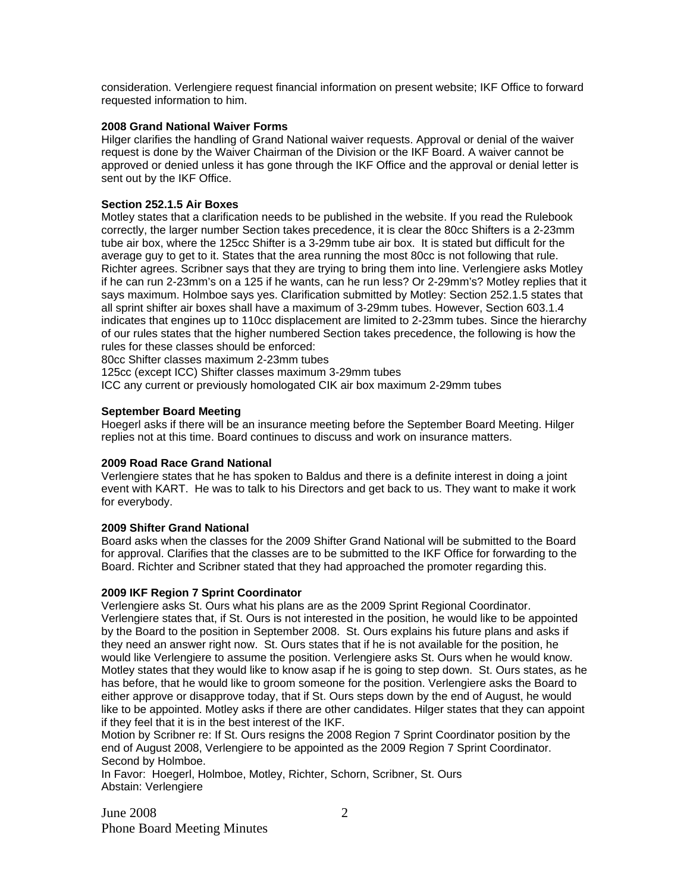consideration. Verlengiere request financial information on present website; IKF Office to forward requested information to him.

# **2008 Grand National Waiver Forms**

Hilger clarifies the handling of Grand National waiver requests. Approval or denial of the waiver request is done by the Waiver Chairman of the Division or the IKF Board. A waiver cannot be approved or denied unless it has gone through the IKF Office and the approval or denial letter is sent out by the IKF Office.

# **Section 252.1.5 Air Boxes**

Motley states that a clarification needs to be published in the website. If you read the Rulebook correctly, the larger number Section takes precedence, it is clear the 80cc Shifters is a 2-23mm tube air box, where the 125cc Shifter is a 3-29mm tube air box. It is stated but difficult for the average guy to get to it. States that the area running the most 80cc is not following that rule. Richter agrees. Scribner says that they are trying to bring them into line. Verlengiere asks Motley if he can run 2-23mm's on a 125 if he wants, can he run less? Or 2-29mm's? Motley replies that it says maximum. Holmboe says yes. Clarification submitted by Motley: Section 252.1.5 states that all sprint shifter air boxes shall have a maximum of 3-29mm tubes. However, Section 603.1.4 indicates that engines up to 110cc displacement are limited to 2-23mm tubes. Since the hierarchy of our rules states that the higher numbered Section takes precedence, the following is how the rules for these classes should be enforced:

80cc Shifter classes maximum 2-23mm tubes

125cc (except ICC) Shifter classes maximum 3-29mm tubes

ICC any current or previously homologated CIK air box maximum 2-29mm tubes

### **September Board Meeting**

Hoegerl asks if there will be an insurance meeting before the September Board Meeting. Hilger replies not at this time. Board continues to discuss and work on insurance matters.

### **2009 Road Race Grand National**

Verlengiere states that he has spoken to Baldus and there is a definite interest in doing a joint event with KART. He was to talk to his Directors and get back to us. They want to make it work for everybody.

### **2009 Shifter Grand National**

Board asks when the classes for the 2009 Shifter Grand National will be submitted to the Board for approval. Clarifies that the classes are to be submitted to the IKF Office for forwarding to the Board. Richter and Scribner stated that they had approached the promoter regarding this.

### **2009 IKF Region 7 Sprint Coordinator**

Verlengiere asks St. Ours what his plans are as the 2009 Sprint Regional Coordinator. Verlengiere states that, if St. Ours is not interested in the position, he would like to be appointed by the Board to the position in September 2008. St. Ours explains his future plans and asks if they need an answer right now. St. Ours states that if he is not available for the position, he would like Verlengiere to assume the position. Verlengiere asks St. Ours when he would know. Motley states that they would like to know asap if he is going to step down. St. Ours states, as he has before, that he would like to groom someone for the position. Verlengiere asks the Board to either approve or disapprove today, that if St. Ours steps down by the end of August, he would like to be appointed. Motley asks if there are other candidates. Hilger states that they can appoint if they feel that it is in the best interest of the IKF.

Motion by Scribner re: If St. Ours resigns the 2008 Region 7 Sprint Coordinator position by the end of August 2008, Verlengiere to be appointed as the 2009 Region 7 Sprint Coordinator. Second by Holmboe.

In Favor: Hoegerl, Holmboe, Motley, Richter, Schorn, Scribner, St. Ours Abstain: Verlengiere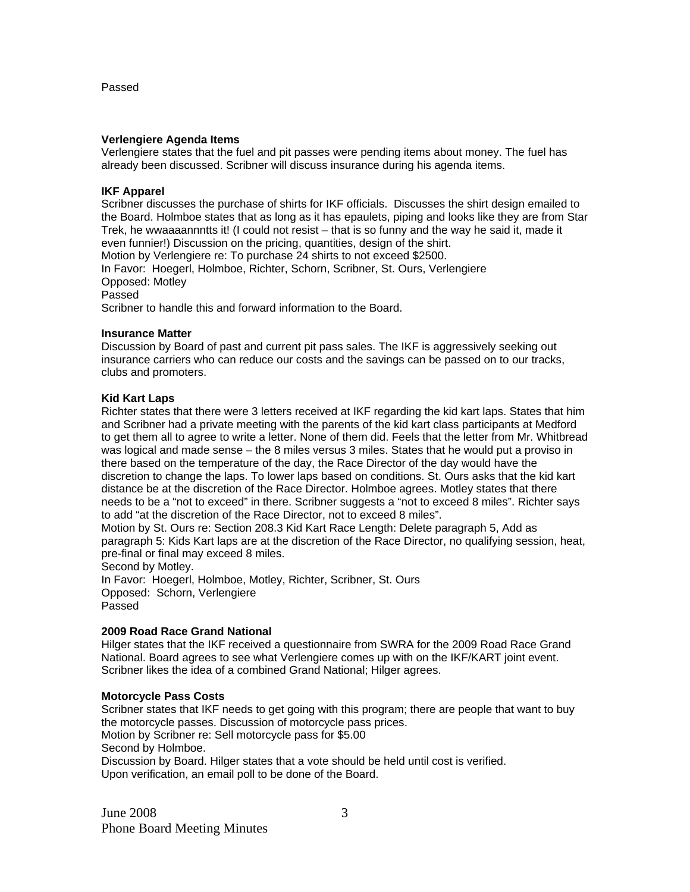#### Passed

#### **Verlengiere Agenda Items**

Verlengiere states that the fuel and pit passes were pending items about money. The fuel has already been discussed. Scribner will discuss insurance during his agenda items.

#### **IKF Apparel**

Scribner discusses the purchase of shirts for IKF officials. Discusses the shirt design emailed to the Board. Holmboe states that as long as it has epaulets, piping and looks like they are from Star Trek, he wwaaaannntts it! (I could not resist – that is so funny and the way he said it, made it even funnier!) Discussion on the pricing, quantities, design of the shirt. Motion by Verlengiere re: To purchase 24 shirts to not exceed \$2500. In Favor: Hoegerl, Holmboe, Richter, Schorn, Scribner, St. Ours, Verlengiere Opposed: Motley Passed Scribner to handle this and forward information to the Board.

#### **Insurance Matter**

Discussion by Board of past and current pit pass sales. The IKF is aggressively seeking out insurance carriers who can reduce our costs and the savings can be passed on to our tracks, clubs and promoters.

#### **Kid Kart Laps**

Richter states that there were 3 letters received at IKF regarding the kid kart laps. States that him and Scribner had a private meeting with the parents of the kid kart class participants at Medford to get them all to agree to write a letter. None of them did. Feels that the letter from Mr. Whitbread was logical and made sense – the 8 miles versus 3 miles. States that he would put a proviso in there based on the temperature of the day, the Race Director of the day would have the discretion to change the laps. To lower laps based on conditions. St. Ours asks that the kid kart distance be at the discretion of the Race Director. Holmboe agrees. Motley states that there needs to be a "not to exceed" in there. Scribner suggests a "not to exceed 8 miles". Richter says to add "at the discretion of the Race Director, not to exceed 8 miles".

Motion by St. Ours re: Section 208.3 Kid Kart Race Length: Delete paragraph 5, Add as paragraph 5: Kids Kart laps are at the discretion of the Race Director, no qualifying session, heat, pre-final or final may exceed 8 miles.

Second by Motley.

In Favor: Hoegerl, Holmboe, Motley, Richter, Scribner, St. Ours Opposed: Schorn, Verlengiere Passed

# **2009 Road Race Grand National**

Hilger states that the IKF received a questionnaire from SWRA for the 2009 Road Race Grand National. Board agrees to see what Verlengiere comes up with on the IKF/KART joint event. Scribner likes the idea of a combined Grand National; Hilger agrees.

## **Motorcycle Pass Costs**

Scribner states that IKF needs to get going with this program; there are people that want to buy the motorcycle passes. Discussion of motorcycle pass prices. Motion by Scribner re: Sell motorcycle pass for \$5.00 Second by Holmboe. Discussion by Board. Hilger states that a vote should be held until cost is verified. Upon verification, an email poll to be done of the Board.